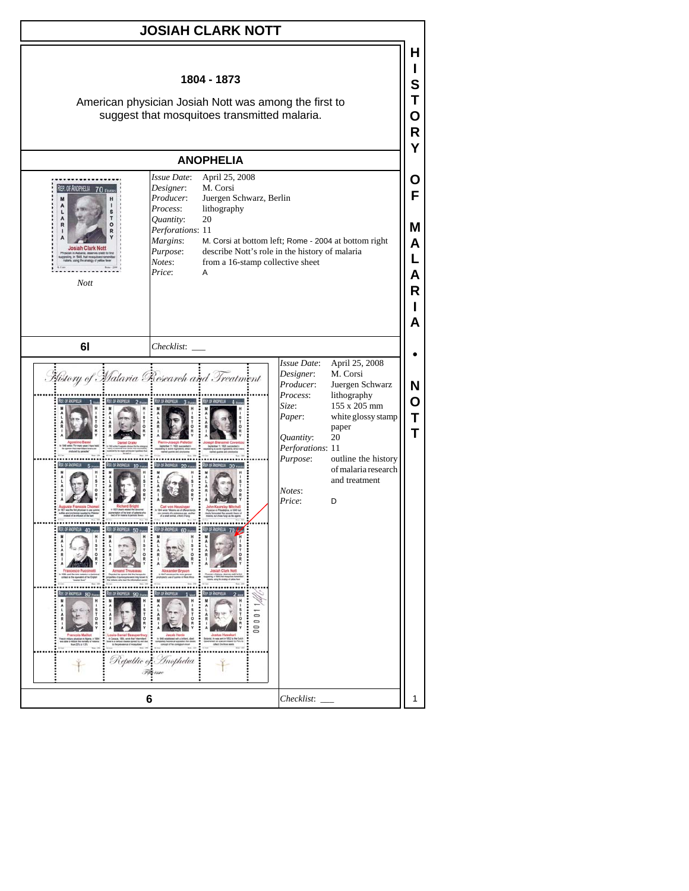